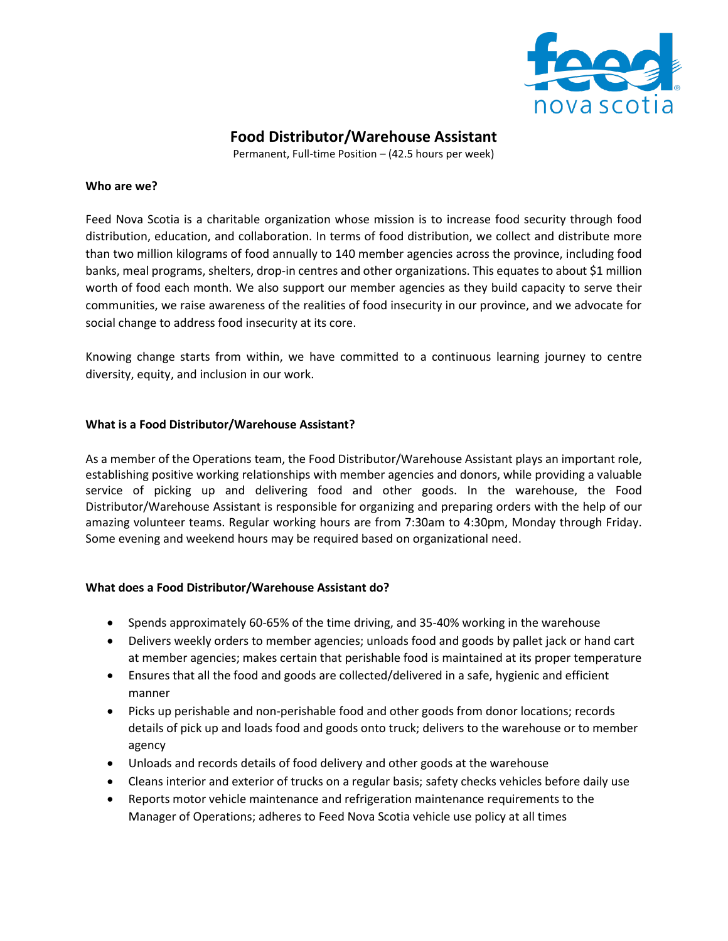

# **Food Distributor/Warehouse Assistant**

Permanent, Full-time Position – (42.5 hours per week)

#### **Who are we?**

Feed Nova Scotia is a charitable organization whose mission is to increase food security through food distribution, education, and collaboration. In terms of food distribution, we collect and distribute more than two million kilograms of food annually to 140 member agencies across the province, including food banks, meal programs, shelters, drop-in centres and other organizations. This equates to about \$1 million worth of food each month. We also support our member agencies as they build capacity to serve their communities, we raise awareness of the realities of food insecurity in our province, and we advocate for social change to address food insecurity at its core.

Knowing change starts from within, we have committed to a continuous learning journey to centre diversity, equity, and inclusion in our work.

#### **What is a Food Distributor/Warehouse Assistant?**

As a member of the Operations team, the Food Distributor/Warehouse Assistant plays an important role, establishing positive working relationships with member agencies and donors, while providing a valuable service of picking up and delivering food and other goods. In the warehouse, the Food Distributor/Warehouse Assistant is responsible for organizing and preparing orders with the help of our amazing volunteer teams. Regular working hours are from 7:30am to 4:30pm, Monday through Friday. Some evening and weekend hours may be required based on organizational need.

#### **What does a Food Distributor/Warehouse Assistant do?**

- Spends approximately 60-65% of the time driving, and 35-40% working in the warehouse
- Delivers weekly orders to member agencies; unloads food and goods by pallet jack or hand cart at member agencies; makes certain that perishable food is maintained at its proper temperature
- Ensures that all the food and goods are collected/delivered in a safe, hygienic and efficient manner
- Picks up perishable and non-perishable food and other goods from donor locations; records details of pick up and loads food and goods onto truck; delivers to the warehouse or to member agency
- Unloads and records details of food delivery and other goods at the warehouse
- Cleans interior and exterior of trucks on a regular basis; safety checks vehicles before daily use
- Reports motor vehicle maintenance and refrigeration maintenance requirements to the Manager of Operations; adheres to Feed Nova Scotia vehicle use policy at all times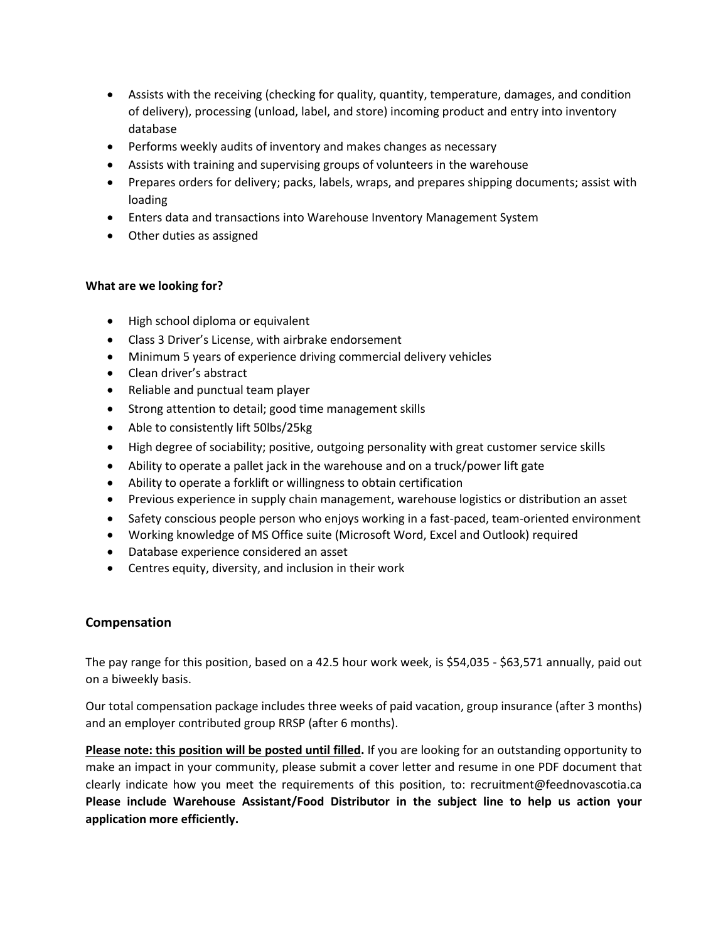- Assists with the receiving (checking for quality, quantity, temperature, damages, and condition of delivery), processing (unload, label, and store) incoming product and entry into inventory database
- Performs weekly audits of inventory and makes changes as necessary
- Assists with training and supervising groups of volunteers in the warehouse
- Prepares orders for delivery; packs, labels, wraps, and prepares shipping documents; assist with loading
- Enters data and transactions into Warehouse Inventory Management System
- Other duties as assigned

### **What are we looking for?**

- High school diploma or equivalent
- Class 3 Driver's License, with airbrake endorsement
- Minimum 5 years of experience driving commercial delivery vehicles
- Clean driver's abstract
- Reliable and punctual team player
- Strong attention to detail; good time management skills
- Able to consistently lift 50lbs/25kg
- High degree of sociability; positive, outgoing personality with great customer service skills
- Ability to operate a pallet jack in the warehouse and on a truck/power lift gate
- Ability to operate a forklift or willingness to obtain certification
- Previous experience in supply chain management, warehouse logistics or distribution an asset
- Safety conscious people person who enjoys working in a fast-paced, team-oriented environment
- Working knowledge of MS Office suite (Microsoft Word, Excel and Outlook) required
- Database experience considered an asset
- Centres equity, diversity, and inclusion in their work

## **Compensation**

The pay range for this position, based on a 42.5 hour work week, is \$54,035 - \$63,571 annually, paid out on a biweekly basis.

Our total compensation package includes three weeks of paid vacation, group insurance (after 3 months) and an employer contributed group RRSP (after 6 months).

**Please note: this position will be posted until filled.** If you are looking for an outstanding opportunity to make an impact in your community, please submit a cover letter and resume in one PDF document that clearly indicate how you meet the requirements of this position, to: recruitment@feednovascotia.ca **Please include Warehouse Assistant/Food Distributor in the subject line to help us action your application more efficiently.**